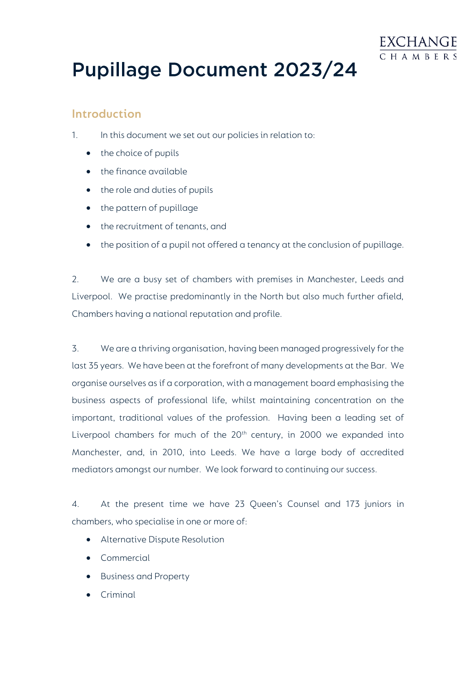

# **Pupillage Document 2023/24**

#### **Introduction**

- 1. In this document we set out our policies in relation to:
	- the choice of pupils
	- the finance available
	- the role and duties of pupils
	- the pattern of pupillage
	- the recruitment of tenants, and
	- the position of a pupil not offered a tenancy at the conclusion of pupillage.

2. We are a busy set of chambers with premises in Manchester, Leeds and Liverpool. We practise predominantly in the North but also much further afield, Chambers having a national reputation and profile.

3. We are a thriving organisation, having been managed progressively for the last 35 years. We have been at the forefront of many developments at the Bar. We organise ourselves as if a corporation, with a management board emphasising the business aspects of professional life, whilst maintaining concentration on the important, traditional values of the profession. Having been a leading set of Liverpool chambers for much of the 20<sup>th</sup> century, in 2000 we expanded into Manchester, and, in 2010, into Leeds. We have a large body of accredited mediators amongst our number. We look forward to continuing our success.

4. At the present time we have 23 Queen's Counsel and 173 juniors in chambers, who specialise in one or more of:

- Alternative Dispute Resolution
- Commercial
- Business and Property
- Criminal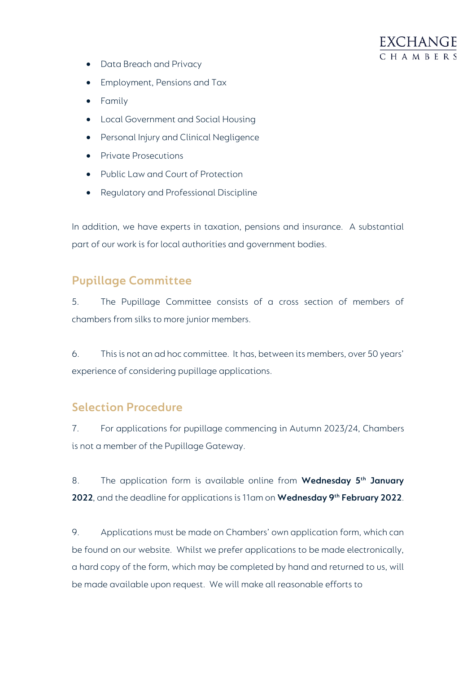

- Data Breach and Privacy
- Employment, Pensions and Tax
- Family
- Local Government and Social Housing
- Personal Injury and Clinical Negligence
- Private Prosecutions
- Public Law and Court of Protection
- Regulatory and Professional Discipline

In addition, we have experts in taxation, pensions and insurance. A substantial part of our work is for local authorities and government bodies.

# **Pupillage Committee**

5. The Pupillage Committee consists of a cross section of members of chambers from silks to more junior members.

6. This is not an ad hoc committee. It has, between its members, over 50 years' experience of considering pupillage applications.

### **Selection Procedure**

7. For applications for pupillage commencing in Autumn 2023/24, Chambers is not a member of the Pupillage Gateway.

8. The application form is available online from **Wednesday 5th January 2022**, and the deadline for applications is 11am on **Wednesday 9th February 2022**.

9. Applications must be made on Chambers' own application form, which can be found on our website. Whilst we prefer applications to be made electronically, a hard copy of the form, which may be completed by hand and returned to us, will be made available upon request. We will make all reasonable efforts to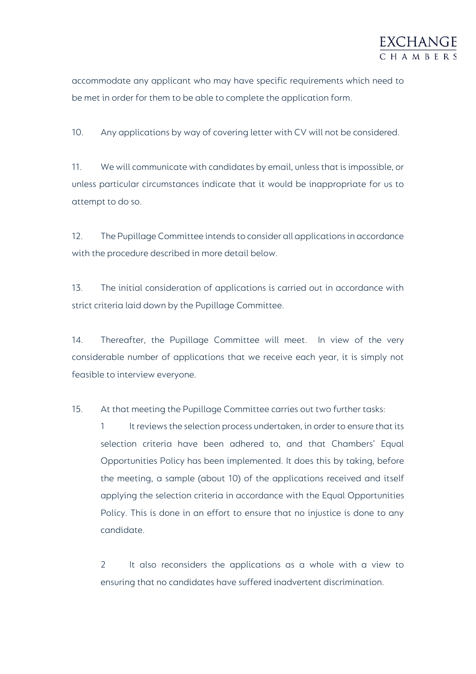

accommodate any applicant who may have specific requirements which need to be met in order for them to be able to complete the application form.

10. Any applications by way of covering letter with CV will not be considered.

11. We will communicate with candidates by email, unless that is impossible, or unless particular circumstances indicate that it would be inappropriate for us to attempt to do so.

12. The Pupillage Committee intends to consider all applications in accordance with the procedure described in more detail below.

13. The initial consideration of applications is carried out in accordance with strict criteria laid down by the Pupillage Committee.

14. Thereafter, the Pupillage Committee will meet. In view of the very considerable number of applications that we receive each year, it is simply not feasible to interview everyone.

15. At that meeting the Pupillage Committee carries out two further tasks:

1 It reviews the selection process undertaken, in order to ensure that its selection criteria have been adhered to, and that Chambers' Equal Opportunities Policy has been implemented. It does this by taking, before the meeting, a sample (about 10) of the applications received and itself applying the selection criteria in accordance with the Equal Opportunities Policy. This is done in an effort to ensure that no injustice is done to any candidate.

2 It also reconsiders the applications as a whole with a view to ensuring that no candidates have suffered inadvertent discrimination.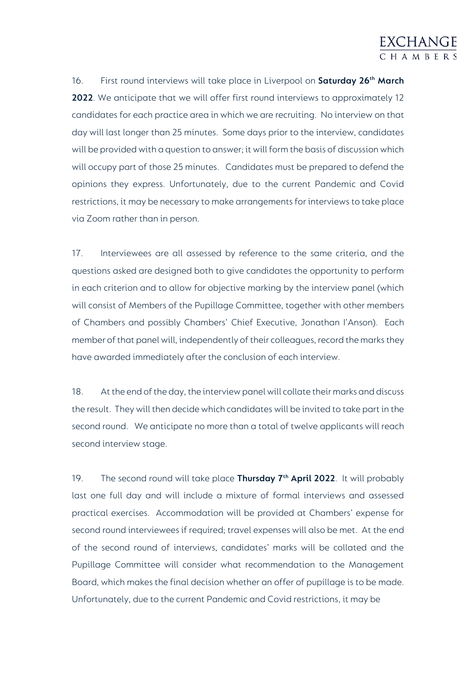16. First round interviews will take place in Liverpool on **Saturday 26th March 2022**. We anticipate that we will offer first round interviews to approximately 12 candidates for each practice area in which we are recruiting. No interview on that day will last longer than 25 minutes. Some days prior to the interview, candidates will be provided with a question to answer; it will form the basis of discussion which will occupy part of those 25 minutes. Candidates must be prepared to defend the opinions they express. Unfortunately, due to the current Pandemic and Covid restrictions, it may be necessary to make arrangements for interviews to take place via Zoom rather than in person.

17. Interviewees are all assessed by reference to the same criteria, and the questions asked are designed both to give candidates the opportunity to perform in each criterion and to allow for objective marking by the interview panel (which will consist of Members of the Pupillage Committee, together with other members of Chambers and possibly Chambers' Chief Executive, Jonathan I'Anson). Each member of that panel will, independently of their colleagues, record the marks they have awarded immediately after the conclusion of each interview.

18. At the end of the day, the interview panel will collate their marks and discuss the result. They will then decide which candidates will be invited to take part in the second round. We anticipate no more than a total of twelve applicants will reach second interview stage.

19. The second round will take place **Thursday 7 th April 2022**. It will probably last one full day and will include a mixture of formal interviews and assessed practical exercises. Accommodation will be provided at Chambers' expense for second round interviewees if required; travel expenses will also be met. At the end of the second round of interviews, candidates' marks will be collated and the Pupillage Committee will consider what recommendation to the Management Board, which makes the final decision whether an offer of pupillage is to be made. Unfortunately, due to the current Pandemic and Covid restrictions, it may be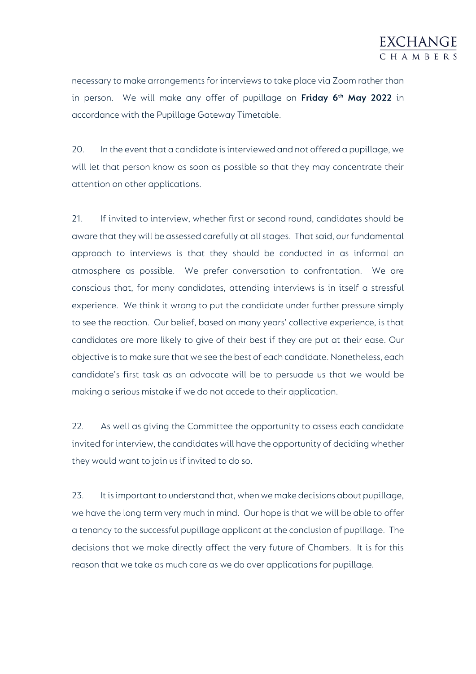necessary to make arrangements for interviews to take place via Zoom rather than in person. We will make any offer of pupillage on **Friday 6th May 2022** in accordance with the Pupillage Gateway Timetable.

20. In the event that a candidate is interviewed and not offered a pupillage, we will let that person know as soon as possible so that they may concentrate their attention on other applications.

21. If invited to interview, whether first or second round, candidates should be aware that they will be assessed carefully at all stages. That said, our fundamental approach to interviews is that they should be conducted in as informal an atmosphere as possible. We prefer conversation to confrontation. We are conscious that, for many candidates, attending interviews is in itself a stressful experience. We think it wrong to put the candidate under further pressure simply to see the reaction. Our belief, based on many years' collective experience, is that candidates are more likely to give of their best if they are put at their ease. Our objective is to make sure that we see the best of each candidate. Nonetheless, each candidate's first task as an advocate will be to persuade us that we would be making a serious mistake if we do not accede to their application.

22. As well as giving the Committee the opportunity to assess each candidate invited for interview, the candidates will have the opportunity of deciding whether they would want to join us if invited to do so.

23. It is important to understand that, when we make decisions about pupillage, we have the long term very much in mind. Our hope is that we will be able to offer a tenancy to the successful pupillage applicant at the conclusion of pupillage. The decisions that we make directly affect the very future of Chambers. It is for this reason that we take as much care as we do over applications for pupillage.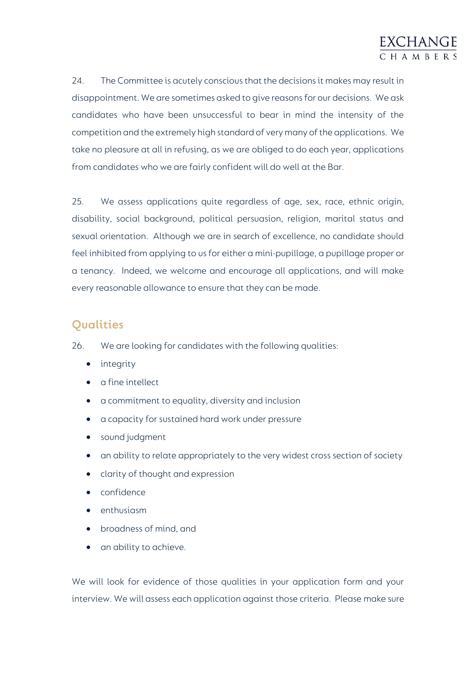

24. The Committee is acutely conscious that the decisions it makes may result in disappointment. We are sometimes asked to give reasons for our decisions. We ask candidates who have been unsuccessful to bear in mind the intensity of the competition and the extremely high standard of very many of the applications. We take no pleasure at all in refusing, as we are obliged to do each year, applications from candidates who we are fairly confident will do well at the Bar.

25. We assess applications quite regardless of age, sex, race, ethnic origin, disability, social background, political persuasion, religion, marital status and sexual orientation. Although we are in search of excellence, no candidate should feel inhibited from applying to us for either a mini-pupillage, a pupillage proper or a tenancy. Indeed, we welcome and encourage all applications, and will make every reasonable allowance to ensure that they can be made.

#### **Qualities**

26. We are looking for candidates with the following qualities:

- integrity
- a fine intellect
- a commitment to equality, diversity and inclusion
- a capacity for sustained hard work under pressure
- sound judgment
- an ability to relate appropriately to the very widest cross section of society
- clarity of thought and expression
- confidence
- enthusiasm
- broadness of mind, and
- an ability to achieve.

We will look for evidence of those qualities in your application form and your interview. We will assess each application against those criteria. Please make sure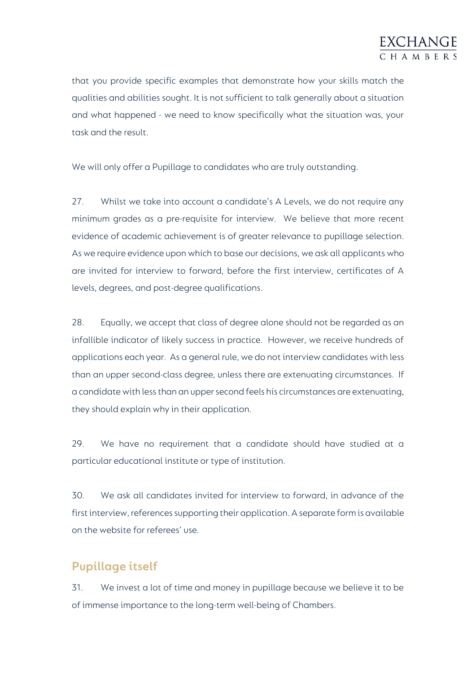

that you provide specific examples that demonstrate how your skills match the qualities and abilities sought. It is not sufficient to talk generally about a situation and what happened - we need to know specifically what the situation was, your task and the result.

We will only offer a Pupillage to candidates who are truly outstanding.

27. Whilst we take into account a candidate's A Levels, we do not require any minimum grades as a pre-requisite for interview. We believe that more recent evidence of academic achievement is of greater relevance to pupillage selection. As we require evidence upon which to base our decisions, we ask all applicants who are invited for interview to forward, before the first interview, certificates of A levels, degrees, and post-degree qualifications.

28. Equally, we accept that class of degree alone should not be regarded as an infallible indicator of likely success in practice. However, we receive hundreds of applications each year. As a general rule, we do not interview candidates with less than an upper second-class degree, unless there are extenuating circumstances. If a candidate with less than an upper second feels his circumstances are extenuating, they should explain why in their application.

29. We have no requirement that a candidate should have studied at a particular educational institute or type of institution.

30. We ask all candidates invited for interview to forward, in advance of the first interview, references supporting their application. A separate form is available on the website for referees' use.

# **Pupillage itself**

31. We invest a lot of time and money in pupillage because we believe it to be of immense importance to the long-term well-being of Chambers.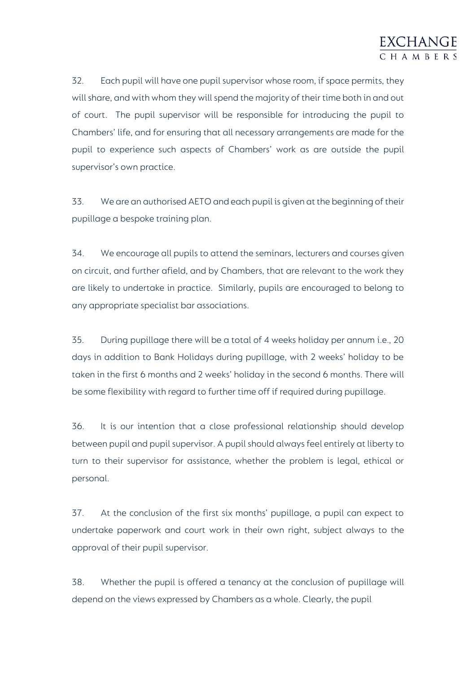

32. Each pupil will have one pupil supervisor whose room, if space permits, they will share, and with whom they will spend the majority of their time both in and out of court. The pupil supervisor will be responsible for introducing the pupil to Chambers' life, and for ensuring that all necessary arrangements are made for the pupil to experience such aspects of Chambers' work as are outside the pupil supervisor's own practice.

33. We are an authorised AETO and each pupil is given at the beginning of their pupillage a bespoke training plan.

34. We encourage all pupils to attend the seminars, lecturers and courses given on circuit, and further afield, and by Chambers, that are relevant to the work they are likely to undertake in practice. Similarly, pupils are encouraged to belong to any appropriate specialist bar associations.

35. During pupillage there will be a total of 4 weeks holiday per annum i.e., 20 days in addition to Bank Holidays during pupillage, with 2 weeks' holiday to be taken in the first 6 months and 2 weeks' holiday in the second 6 months. There will be some flexibility with regard to further time off if required during pupillage.

36. It is our intention that a close professional relationship should develop between pupil and pupil supervisor. A pupil should always feel entirely at liberty to turn to their supervisor for assistance, whether the problem is legal, ethical or personal.

37. At the conclusion of the first six months' pupillage, a pupil can expect to undertake paperwork and court work in their own right, subject always to the approval of their pupil supervisor.

38. Whether the pupil is offered a tenancy at the conclusion of pupillage will depend on the views expressed by Chambers as a whole. Clearly, the pupil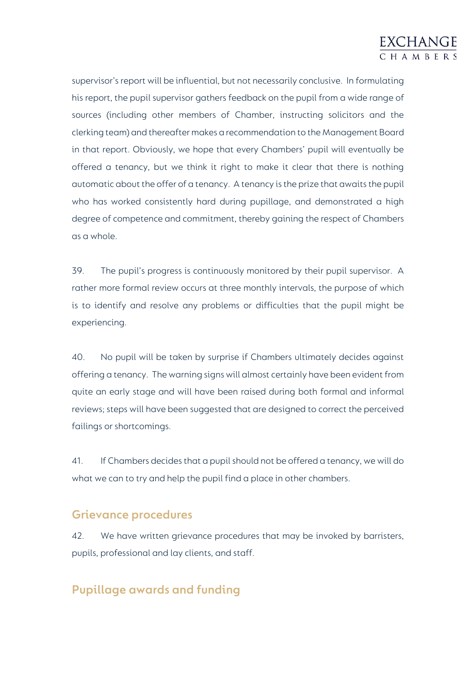# EXCHANGE CHAMBER

supervisor's report will be influential, but not necessarily conclusive. In formulating his report, the pupil supervisor gathers feedback on the pupil from a wide range of sources (including other members of Chamber, instructing solicitors and the clerking team) and thereafter makes a recommendation to the Management Board in that report. Obviously, we hope that every Chambers' pupil will eventually be offered a tenancy, but we think it right to make it clear that there is nothing automatic about the offer of a tenancy. A tenancy is the prize that awaits the pupil who has worked consistently hard during pupillage, and demonstrated a high degree of competence and commitment, thereby gaining the respect of Chambers as a whole.

39. The pupil's progress is continuously monitored by their pupil supervisor. A rather more formal review occurs at three monthly intervals, the purpose of which is to identify and resolve any problems or difficulties that the pupil might be experiencing.

40. No pupil will be taken by surprise if Chambers ultimately decides against offering a tenancy. The warning signs will almost certainly have been evident from quite an early stage and will have been raised during both formal and informal reviews; steps will have been suggested that are designed to correct the perceived failings or shortcomings.

41. If Chambers decides that a pupil should not be offered a tenancy, we will do what we can to try and help the pupil find a place in other chambers.

#### **Grievance procedures**

42. We have written grievance procedures that may be invoked by barristers, pupils, professional and lay clients, and staff.

# **Pupillage awards and funding**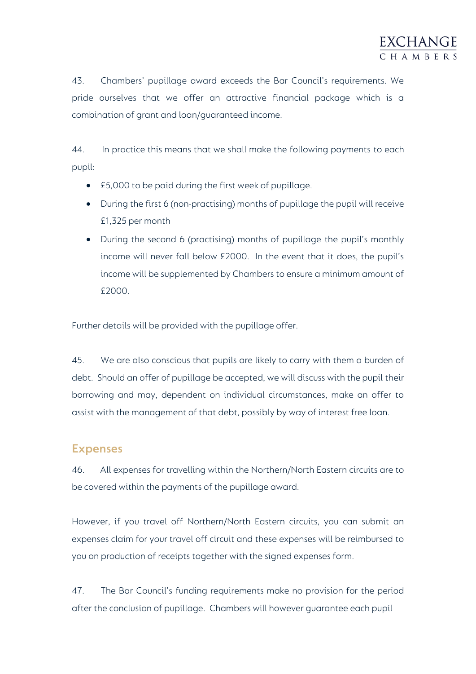43. Chambers' pupillage award exceeds the Bar Council's requirements. We pride ourselves that we offer an attractive financial package which is a combination of grant and loan/guaranteed income.

44. In practice this means that we shall make the following payments to each pupil:

- £5,000 to be paid during the first week of pupillage.
- During the first 6 (non-practising) months of pupillage the pupil will receive £1,325 per month
- During the second 6 (practising) months of pupillage the pupil's monthly income will never fall below £2000. In the event that it does, the pupil's income will be supplemented by Chambers to ensure a minimum amount of £2000.

Further details will be provided with the pupillage offer.

45. We are also conscious that pupils are likely to carry with them a burden of debt. Should an offer of pupillage be accepted, we will discuss with the pupil their borrowing and may, dependent on individual circumstances, make an offer to assist with the management of that debt, possibly by way of interest free loan.

#### **Expenses**

46. All expenses for travelling within the Northern/North Eastern circuits are to be covered within the payments of the pupillage award.

However, if you travel off Northern/North Eastern circuits, you can submit an expenses claim for your travel off circuit and these expenses will be reimbursed to you on production of receipts together with the signed expenses form.

47. The Bar Council's funding requirements make no provision for the period after the conclusion of pupillage. Chambers will however guarantee each pupil